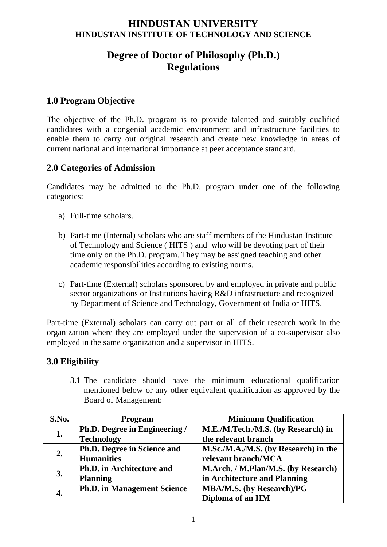## **HINDUSTAN UNIVERSITY HINDUSTAN INSTITUTE OF TECHNOLOGY AND SCIENCE**

# **Degree of Doctor of Philosophy (Ph.D.) Regulations**

## **1.0 Program Objective**

The objective of the Ph.D. program is to provide talented and suitably qualified candidates with a congenial academic environment and infrastructure facilities to enable them to carry out original research and create new knowledge in areas of current national and international importance at peer acceptance standard.

## **2.0 Categories of Admission**

Candidates may be admitted to the Ph.D. program under one of the following categories:

- a) Full-time scholars.
- b) Part-time (Internal) scholars who are staff members of the Hindustan Institute of Technology and Science ( HITS ) and who will be devoting part of their time only on the Ph.D. program. They may be assigned teaching and other academic responsibilities according to existing norms.
- c) Part-time (External) scholars sponsored by and employed in private and public sector organizations or Institutions having R&D infrastructure and recognized by Department of Science and Technology, Government of India or HITS.

Part-time (External) scholars can carry out part or all of their research work in the organization where they are employed under the supervision of a co-supervisor also employed in the same organization and a supervisor in HITS.

## **3.0 Eligibility**

3.1 The candidate should have the minimum educational qualification mentioned below or any other equivalent qualification as approved by the Board of Management:

| S.No. | <b>Program</b>                     | <b>Minimum Qualification</b>         |
|-------|------------------------------------|--------------------------------------|
| 1.    | Ph.D. Degree in Engineering /      | M.E./M.Tech./M.S. (by Research) in   |
|       | <b>Technology</b>                  | the relevant branch                  |
| 2.    | Ph.D. Degree in Science and        | M.Sc./M.A./M.S. (by Research) in the |
|       | <b>Humanities</b>                  | relevant branch/MCA                  |
| 3.    | Ph.D. in Architecture and          | M.Arch. / M.Plan/M.S. (by Research)  |
|       | <b>Planning</b>                    | in Architecture and Planning         |
| 4.    | <b>Ph.D. in Management Science</b> | <b>MBA/M.S. (by Research)/PG</b>     |
|       |                                    | Diploma of an IIM                    |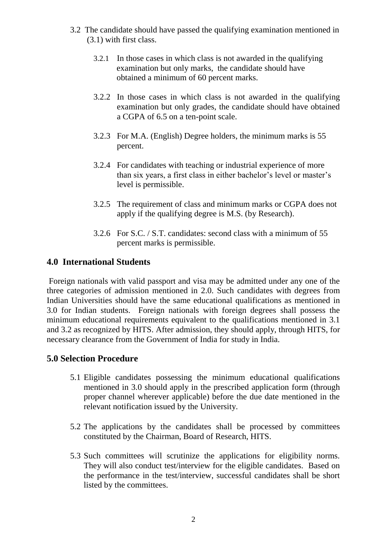- 3.2 The candidate should have passed the qualifying examination mentioned in (3.1) with first class.
	- 3.2.1 In those cases in which class is not awarded in the qualifying examination but only marks, the candidate should have obtained a minimum of 60 percent marks.
	- 3.2.2 In those cases in which class is not awarded in the qualifying examination but only grades, the candidate should have obtained a CGPA of 6.5 on a ten-point scale.
	- 3.2.3 For M.A. (English) Degree holders, the minimum marks is 55 percent.
	- 3.2.4 For candidates with teaching or industrial experience of more than six years, a first class in either bachelor's level or master's level is permissible.
	- 3.2.5 The requirement of class and minimum marks or CGPA does not apply if the qualifying degree is M.S. (by Research).
	- 3.2.6 For S.C. / S.T. candidates: second class with a minimum of 55 percent marks is permissible.

## **4.0 International Students**

Foreign nationals with valid passport and visa may be admitted under any one of the three categories of admission mentioned in 2.0. Such candidates with degrees from Indian Universities should have the same educational qualifications as mentioned in 3.0 for Indian students. Foreign nationals with foreign degrees shall possess the minimum educational requirements equivalent to the qualifications mentioned in 3.1 and 3.2 as recognized by HITS. After admission, they should apply, through HITS, for necessary clearance from the Government of India for study in India.

## **5.0 Selection Procedure**

- 5.1 Eligible candidates possessing the minimum educational qualifications mentioned in 3.0 should apply in the prescribed application form (through proper channel wherever applicable) before the due date mentioned in the relevant notification issued by the University.
- 5.2 The applications by the candidates shall be processed by committees constituted by the Chairman, Board of Research, HITS.
- 5.3 Such committees will scrutinize the applications for eligibility norms. They will also conduct test/interview for the eligible candidates. Based on the performance in the test/interview, successful candidates shall be short listed by the committees.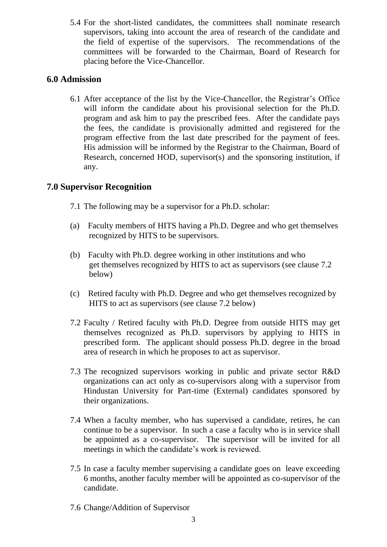5.4 For the short-listed candidates, the committees shall nominate research supervisors, taking into account the area of research of the candidate and the field of expertise of the supervisors. The recommendations of the committees will be forwarded to the Chairman, Board of Research for placing before the Vice-Chancellor.

## **6.0 Admission**

6.1 After acceptance of the list by the Vice-Chancellor, the Registrar's Office will inform the candidate about his provisional selection for the Ph.D. program and ask him to pay the prescribed fees. After the candidate pays the fees, the candidate is provisionally admitted and registered for the program effective from the last date prescribed for the payment of fees. His admission will be informed by the Registrar to the Chairman, Board of Research, concerned HOD, supervisor(s) and the sponsoring institution, if any.

## **7.0 Supervisor Recognition**

- 7.1 The following may be a supervisor for a Ph.D. scholar:
- (a) Faculty members of HITS having a Ph.D. Degree and who get themselves recognized by HITS to be supervisors.
- (b) Faculty with Ph.D. degree working in other institutions and who get themselves recognized by HITS to act as supervisors (see clause 7.2 below)
- (c) Retired faculty with Ph.D. Degree and who get themselves recognized by HITS to act as supervisors (see clause 7.2 below)
- 7.2 Faculty / Retired faculty with Ph.D. Degree from outside HITS may get themselves recognized as Ph.D. supervisors by applying to HITS in prescribed form. The applicant should possess Ph.D. degree in the broad area of research in which he proposes to act as supervisor.
- 7.3 The recognized supervisors working in public and private sector R&D organizations can act only as co-supervisors along with a supervisor from Hindustan University for Part-time (External) candidates sponsored by their organizations.
- 7.4 When a faculty member, who has supervised a candidate, retires, he can continue to be a supervisor. In such a case a faculty who is in service shall be appointed as a co-supervisor. The supervisor will be invited for all meetings in which the candidate's work is reviewed.
- 7.5 In case a faculty member supervising a candidate goes on leave exceeding 6 months, another faculty member will be appointed as co-supervisor of the candidate.
- 7.6 Change/Addition of Supervisor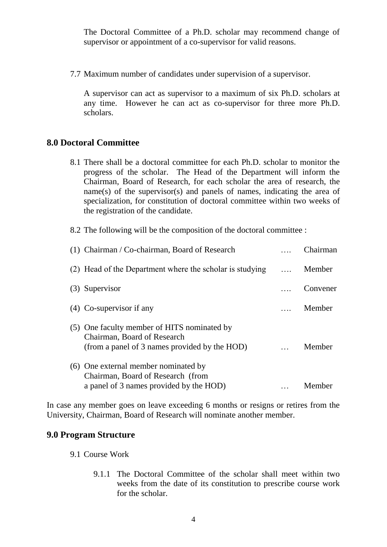The Doctoral Committee of a Ph.D. scholar may recommend change of supervisor or appointment of a co-supervisor for valid reasons.

7.7 Maximum number of candidates under supervision of a supervisor.

A supervisor can act as supervisor to a maximum of six Ph.D. scholars at any time. However he can act as co-supervisor for three more Ph.D. scholars.

#### **8.0 Doctoral Committee**

8.1 There shall be a doctoral committee for each Ph.D. scholar to monitor the progress of the scholar. The Head of the Department will inform the Chairman, Board of Research, for each scholar the area of research, the  $name(s)$  of the supervisor(s) and panels of names, indicating the area of specialization, for constitution of doctoral committee within two weeks of the registration of the candidate.

8.2 The following will be the composition of the doctoral committee :

| (1) Chairman / Co-chairman, Board of Research                                                                               | Chairman |
|-----------------------------------------------------------------------------------------------------------------------------|----------|
| (2) Head of the Department where the scholar is studying                                                                    | Member   |
| (3) Supervisor                                                                                                              | Convener |
| $(4)$ Co-supervisor if any                                                                                                  | Member   |
| (5) One faculty member of HITS nominated by<br>Chairman, Board of Research<br>(from a panel of 3 names provided by the HOD) | Member   |
| (6) One external member nominated by<br>Chairman, Board of Research (from<br>a panel of 3 names provided by the HOD)        | Member   |

In case any member goes on leave exceeding 6 months or resigns or retires from the University, Chairman, Board of Research will nominate another member.

#### **9.0 Program Structure**

- 9.1 Course Work
	- 9.1.1 The Doctoral Committee of the scholar shall meet within two weeks from the date of its constitution to prescribe course work for the scholar.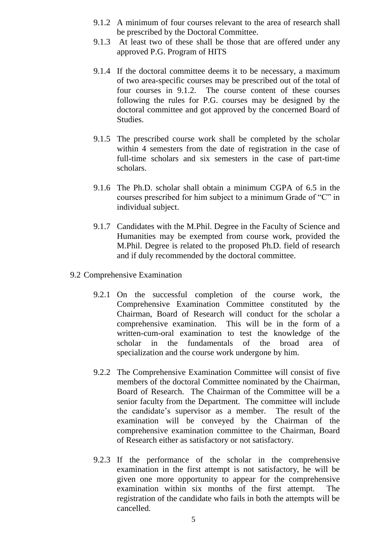- 9.1.2 A minimum of four courses relevant to the area of research shall be prescribed by the Doctoral Committee.
- 9.1.3 At least two of these shall be those that are offered under any approved P.G. Program of HITS
- 9.1.4 If the doctoral committee deems it to be necessary, a maximum of two area-specific courses may be prescribed out of the total of four courses in 9.1.2. The course content of these courses following the rules for P.G. courses may be designed by the doctoral committee and got approved by the concerned Board of Studies.
- 9.1.5 The prescribed course work shall be completed by the scholar within 4 semesters from the date of registration in the case of full-time scholars and six semesters in the case of part-time scholars.
- 9.1.6 The Ph.D. scholar shall obtain a minimum CGPA of 6.5 in the courses prescribed for him subject to a minimum Grade of "C" in individual subject.
- 9.1.7 Candidates with the M.Phil. Degree in the Faculty of Science and Humanities may be exempted from course work, provided the M.Phil. Degree is related to the proposed Ph.D. field of research and if duly recommended by the doctoral committee.
- 9.2 Comprehensive Examination
	- 9.2.1 On the successful completion of the course work, the Comprehensive Examination Committee constituted by the Chairman, Board of Research will conduct for the scholar a comprehensive examination. This will be in the form of a written-cum-oral examination to test the knowledge of the scholar in the fundamentals of the broad area of specialization and the course work undergone by him.
	- 9.2.2 The Comprehensive Examination Committee will consist of five members of the doctoral Committee nominated by the Chairman, Board of Research. The Chairman of the Committee will be a senior faculty from the Department. The committee will include the candidate's supervisor as a member. The result of the examination will be conveyed by the Chairman of the comprehensive examination committee to the Chairman, Board of Research either as satisfactory or not satisfactory.
	- 9.2.3 If the performance of the scholar in the comprehensive examination in the first attempt is not satisfactory, he will be given one more opportunity to appear for the comprehensive examination within six months of the first attempt. The registration of the candidate who fails in both the attempts will be cancelled.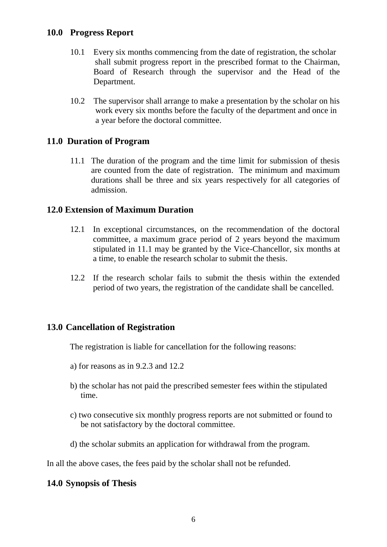### **10.0 Progress Report**

- 10.1 Every six months commencing from the date of registration, the scholar shall submit progress report in the prescribed format to the Chairman, Board of Research through the supervisor and the Head of the Department.
- 10.2 The supervisor shall arrange to make a presentation by the scholar on his work every six months before the faculty of the department and once in a year before the doctoral committee.

#### **11.0 Duration of Program**

11.1 The duration of the program and the time limit for submission of thesis are counted from the date of registration. The minimum and maximum durations shall be three and six years respectively for all categories of admission.

### **12.0 Extension of Maximum Duration**

- 12.1 In exceptional circumstances, on the recommendation of the doctoral committee, a maximum grace period of 2 years beyond the maximum stipulated in 11.1 may be granted by the Vice-Chancellor, six months at a time, to enable the research scholar to submit the thesis.
- 12.2 If the research scholar fails to submit the thesis within the extended period of two years, the registration of the candidate shall be cancelled.

#### **13.0 Cancellation of Registration**

The registration is liable for cancellation for the following reasons:

- a) for reasons as in 9.2.3 and 12.2
- b) the scholar has not paid the prescribed semester fees within the stipulated time.
- c) two consecutive six monthly progress reports are not submitted or found to be not satisfactory by the doctoral committee.
- d) the scholar submits an application for withdrawal from the program.

In all the above cases, the fees paid by the scholar shall not be refunded.

#### **14.0 Synopsis of Thesis**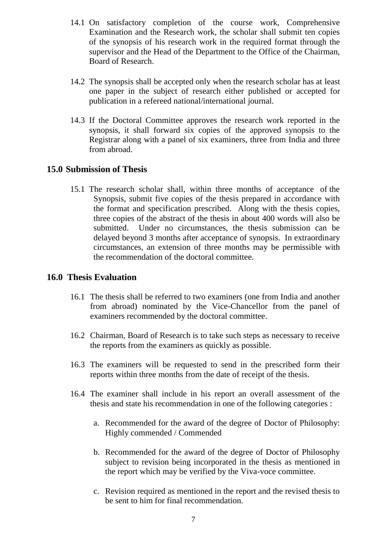- 14.1 On satisfactory completion of the course work, Comprehensive Examination and the Research work, the scholar shall submit ten copies of the synopsis of his research work in the required format through the supervisor and the Head of the Department to the Office of the Chairman, Board of Research.
- 14.2 The synopsis shall be accepted only when the research scholar has at least one paper in the subject of research either published or accepted for publication in a refereed national/international journal.
- 14.3 If the Doctoral Committee approves the research work reported in the synopsis, it shall forward six copies of the approved synopsis to the Registrar along with a panel of six examiners, three from India and three from abroad.

### **15.0 Submission of Thesis**

15.1 The research scholar shall, within three months of acceptance of the Synopsis, submit five copies of the thesis prepared in accordance with the format and specification prescribed. Along with the thesis copies, three copies of the abstract of the thesis in about 400 words will also be submitted. Under no circumstances, the thesis submission can be delayed beyond 3 months after acceptance of synopsis. In extraordinary circumstances, an extension of three months may be permissible with the recommendation of the doctoral committee.

#### **16.0 Thesis Evaluation**

- 16.1 The thesis shall be referred to two examiners (one from India and another from abroad) nominated by the Vice-Chancellor from the panel of examiners recommended by the doctoral committee.
- 16.2 Chairman, Board of Research is to take such steps as necessary to receive the reports from the examiners as quickly as possible.
- 16.3 The examiners will be requested to send in the prescribed form their reports within three months from the date of receipt of the thesis.
- 16.4 The examiner shall include in his report an overall assessment of the thesis and state his recommendation in one of the following categories :
	- a. Recommended for the award of the degree of Doctor of Philosophy: Highly commended / Commended
	- b. Recommended for the award of the degree of Doctor of Philosophy subject to revision being incorporated in the thesis as mentioned in the report which may be verified by the Viva-voce committee.
	- c. Revision required as mentioned in the report and the revised thesis to be sent to him for final recommendation.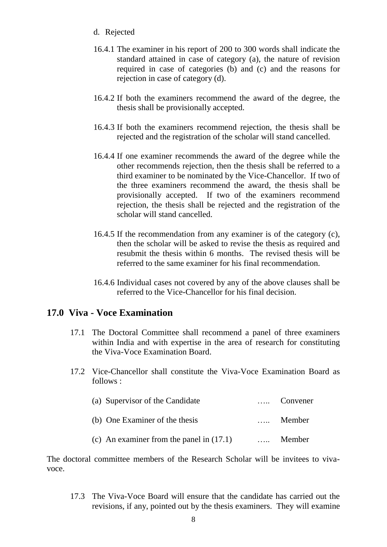- d. Rejected
- 16.4.1 The examiner in his report of 200 to 300 words shall indicate the standard attained in case of category (a), the nature of revision required in case of categories (b) and (c) and the reasons for rejection in case of category (d).
- 16.4.2 If both the examiners recommend the award of the degree, the thesis shall be provisionally accepted.
- 16.4.3 If both the examiners recommend rejection, the thesis shall be rejected and the registration of the scholar will stand cancelled.
- 16.4.4 If one examiner recommends the award of the degree while the other recommends rejection, then the thesis shall be referred to a third examiner to be nominated by the Vice-Chancellor. If two of the three examiners recommend the award, the thesis shall be provisionally accepted. If two of the examiners recommend rejection, the thesis shall be rejected and the registration of the scholar will stand cancelled.
- 16.4.5 If the recommendation from any examiner is of the category (c), then the scholar will be asked to revise the thesis as required and resubmit the thesis within 6 months. The revised thesis will be referred to the same examiner for his final recommendation.
- 16.4.6 Individual cases not covered by any of the above clauses shall be referred to the Vice-Chancellor for his final decision.

## **17.0 Viva - Voce Examination**

- 17.1 The Doctoral Committee shall recommend a panel of three examiners within India and with expertise in the area of research for constituting the Viva-Voce Examination Board.
- 17.2 Vice-Chancellor shall constitute the Viva-Voce Examination Board as follows :

| (a) Supervisor of the Candidate            | Convener |
|--------------------------------------------|----------|
| (b) One Examiner of the thesis             | Member   |
| (c) An examiner from the panel in $(17.1)$ | Member   |

The doctoral committee members of the Research Scholar will be invitees to vivavoce.

17.3 The Viva-Voce Board will ensure that the candidate has carried out the revisions, if any, pointed out by the thesis examiners. They will examine